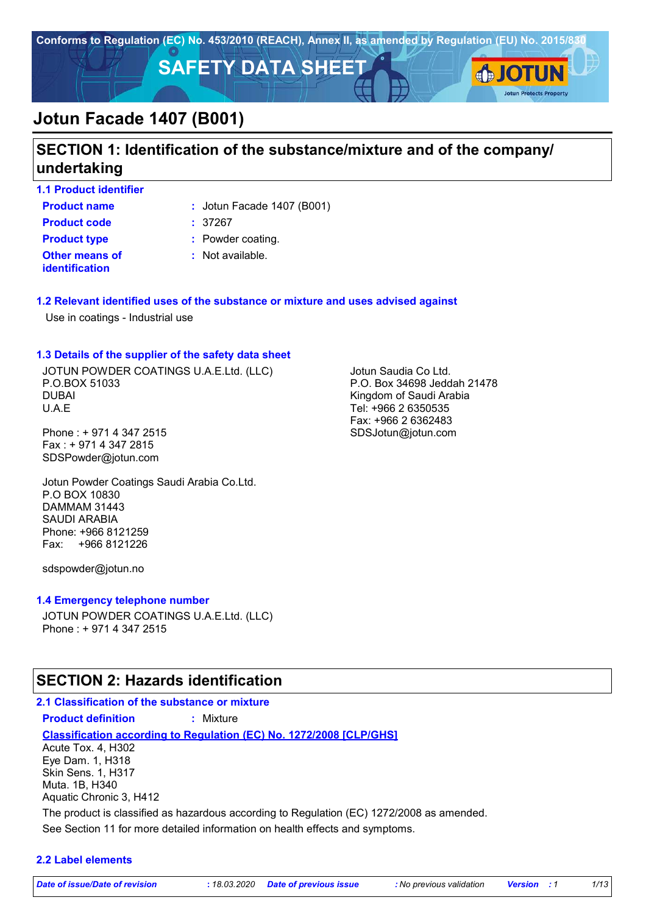

### **SECTION 1: Identification of the substance/mixture and of the company/ undertaking**

**1.1 Product identifier**

**Product name**  $\qquad$ : Jotun Facade 1407 (B001)

**Product code :** 37267

**identification**

**Other means of Product type :** Powder coating.

**:** Not available.

#### **1.2 Relevant identified uses of the substance or mixture and uses advised against**

Use in coatings - Industrial use

#### **1.3 Details of the supplier of the safety data sheet**

JOTUN POWDER COATINGS U.A.E.Ltd. (LLC) P.O.BOX 51033 DUBAI U.A.E

Phone : + 971 4 347 2515 Fax : + 971 4 347 2815 SDSPowder@jotun.com

Jotun Powder Coatings Saudi Arabia Co.Ltd. P.O BOX 10830 DAMMAM 31443 SAUDI ARABIA Phone: +966 8121259 Fax: +966 8121226

sdspowder@jotun.no

#### **1.4 Emergency telephone number**

JOTUN POWDER COATINGS U.A.E.Ltd. (LLC) Phone : + 971 4 347 2515

### **SECTION 2: Hazards identification**

# **2.1 Classification of the substance or mixture**

**Classification according to Regulation (EC) No. 1272/2008 [CLP/GHS]**

See Section 11 for more detailed information on health effects and symptoms. Acute Tox. 4, H302 Eye Dam. 1, H318 Skin Sens. 1, H317 Muta. 1B, H340 Aquatic Chronic 3, H412 The product is classified as hazardous according to Regulation (EC) 1272/2008 as amended.

#### **2.2 Label elements**

*Date of issue/Date of revision* **:** *18.03.2020 Date of previous issue : No previous validation Version : 1 1/13*

Jotun Saudia Co Ltd. P.O. Box 34698 Jeddah 21478 Kingdom of Saudi Arabia Tel: +966 2 6350535 Fax: +966 2 6362483 SDSJotun@jotun.com

**Product definition :** Mixture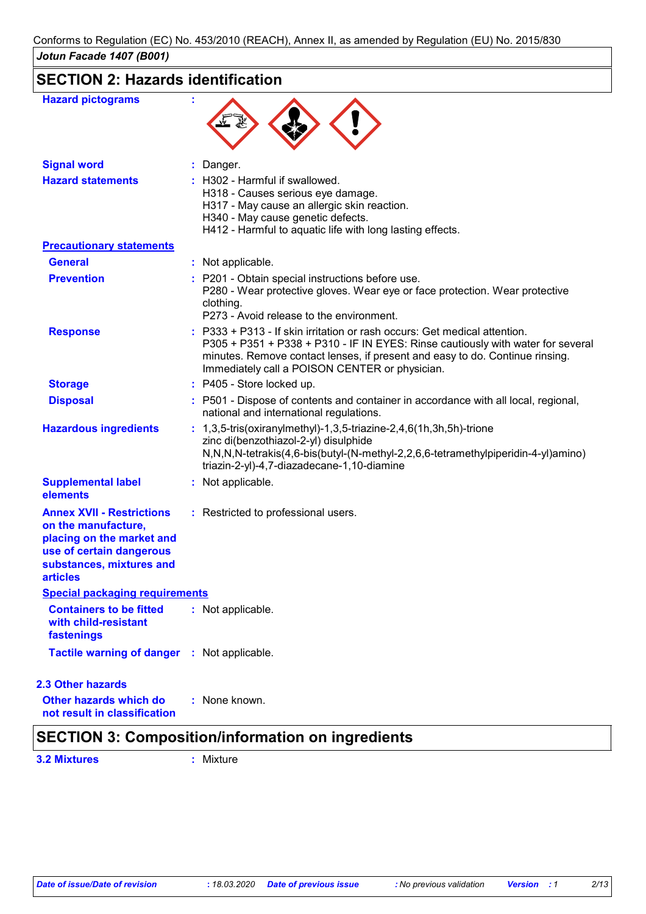# **SECTION 2: Hazards identification**

| <b>Hazard pictograms</b>                                                                                                                                        |                                                                                                                                                                                                                                                                                                |
|-----------------------------------------------------------------------------------------------------------------------------------------------------------------|------------------------------------------------------------------------------------------------------------------------------------------------------------------------------------------------------------------------------------------------------------------------------------------------|
| <b>Signal word</b>                                                                                                                                              | : Danger.                                                                                                                                                                                                                                                                                      |
| <b>Hazard statements</b>                                                                                                                                        | : H302 - Harmful if swallowed.<br>H318 - Causes serious eye damage.<br>H317 - May cause an allergic skin reaction.<br>H340 - May cause genetic defects.<br>H412 - Harmful to aquatic life with long lasting effects.                                                                           |
| <b>Precautionary statements</b>                                                                                                                                 |                                                                                                                                                                                                                                                                                                |
| <b>General</b>                                                                                                                                                  | : Not applicable.                                                                                                                                                                                                                                                                              |
| <b>Prevention</b>                                                                                                                                               | : P201 - Obtain special instructions before use.<br>P280 - Wear protective gloves. Wear eye or face protection. Wear protective<br>clothing.<br>P273 - Avoid release to the environment.                                                                                                       |
| <b>Response</b>                                                                                                                                                 | : P333 + P313 - If skin irritation or rash occurs: Get medical attention.<br>P305 + P351 + P338 + P310 - IF IN EYES: Rinse cautiously with water for several<br>minutes. Remove contact lenses, if present and easy to do. Continue rinsing.<br>Immediately call a POISON CENTER or physician. |
| <b>Storage</b>                                                                                                                                                  | : P405 - Store locked up.                                                                                                                                                                                                                                                                      |
| <b>Disposal</b>                                                                                                                                                 | : P501 - Dispose of contents and container in accordance with all local, regional,<br>national and international regulations.                                                                                                                                                                  |
| <b>Hazardous ingredients</b>                                                                                                                                    | $: 1,3,5$ -tris(oxiranylmethyl)-1,3,5-triazine-2,4,6(1h,3h,5h)-trione<br>zinc di(benzothiazol-2-yl) disulphide<br>N,N,N,N-tetrakis(4,6-bis(butyl-(N-methyl-2,2,6,6-tetramethylpiperidin-4-yl)amino)<br>triazin-2-yl)-4,7-diazadecane-1,10-diamine                                              |
| <b>Supplemental label</b><br>elements                                                                                                                           | : Not applicable.                                                                                                                                                                                                                                                                              |
| <b>Annex XVII - Restrictions</b><br>on the manufacture,<br>placing on the market and<br>use of certain dangerous<br>substances, mixtures and<br><b>articles</b> | : Restricted to professional users.                                                                                                                                                                                                                                                            |
| <b>Special packaging requirements</b>                                                                                                                           |                                                                                                                                                                                                                                                                                                |
| <b>Containers to be fitted</b><br>with child-resistant<br>fastenings                                                                                            | : Not applicable.                                                                                                                                                                                                                                                                              |
| Tactile warning of danger : Not applicable.                                                                                                                     |                                                                                                                                                                                                                                                                                                |
| <b>2.3 Other hazards</b>                                                                                                                                        |                                                                                                                                                                                                                                                                                                |
| Other hazards which do<br>not result in classification                                                                                                          | : None known.                                                                                                                                                                                                                                                                                  |

### **SECTION 3: Composition/information on ingredients**

**3.2 Mixtures :** Mixture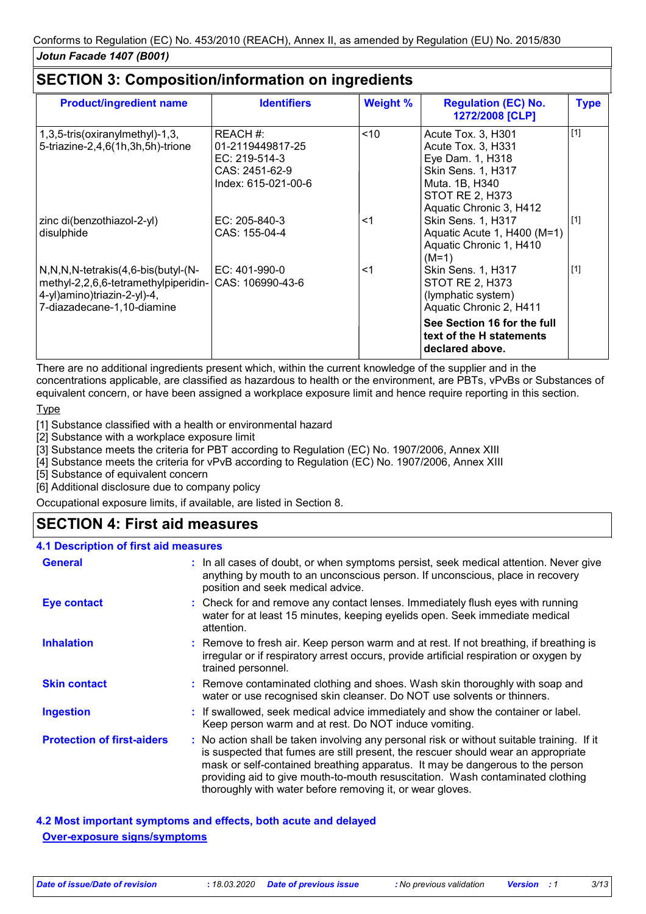| <b>Weight %</b><br><b>Identifiers</b> | <b>Regulation (EC) No.</b><br>1272/2008 [CLP]                                                                                                                  | <b>Type</b>                                                    |
|---------------------------------------|----------------------------------------------------------------------------------------------------------------------------------------------------------------|----------------------------------------------------------------|
| ~10                                   | Acute Tox. 3, H301<br>Acute Tox. 3, H331<br>Eye Dam. 1, H318<br>Skin Sens. 1, H317<br>Muta. 1B, H340<br><b>STOT RE 2, H373</b>                                 | $[1]$                                                          |
| $<$ 1                                 | Skin Sens. 1, H317<br>Aquatic Acute 1, H400 (M=1)<br>Aquatic Chronic 1, H410                                                                                   | $[1]$                                                          |
| $<$ 1                                 | Skin Sens. 1, H317<br><b>STOT RE 2, H373</b><br>(lymphatic system)<br>Aquatic Chronic 2, H411<br>See Section 16 for the full                                   | $[1]$                                                          |
|                                       | REACH #:<br>01-2119449817-25<br>EC: 219-514-3<br>CAS: 2451-62-9<br>Index: 615-021-00-6<br>EC: 205-840-3<br>CAS: 155-04-4<br>EC: 401-990-0<br> CAS: 106990-43-6 | Aquatic Chronic 3, H412<br>$(M=1)$<br>text of the H statements |

There are no additional ingredients present which, within the current knowledge of the supplier and in the concentrations applicable, are classified as hazardous to health or the environment, are PBTs, vPvBs or Substances of equivalent concern, or have been assigned a workplace exposure limit and hence require reporting in this section.

#### **Type**

[1] Substance classified with a health or environmental hazard

[2] Substance with a workplace exposure limit

[3] Substance meets the criteria for PBT according to Regulation (EC) No. 1907/2006, Annex XIII

[4] Substance meets the criteria for vPvB according to Regulation (EC) No. 1907/2006, Annex XIII

[5] Substance of equivalent concern

[6] Additional disclosure due to company policy

Occupational exposure limits, if available, are listed in Section 8.

### **SECTION 4: First aid measures**

#### **4.1 Description of first aid measures**

| <b>General</b>                    | : In all cases of doubt, or when symptoms persist, seek medical attention. Never give<br>anything by mouth to an unconscious person. If unconscious, place in recovery<br>position and seek medical advice.                                                                                                                                                                                                     |  |
|-----------------------------------|-----------------------------------------------------------------------------------------------------------------------------------------------------------------------------------------------------------------------------------------------------------------------------------------------------------------------------------------------------------------------------------------------------------------|--|
| <b>Eye contact</b>                | : Check for and remove any contact lenses. Immediately flush eyes with running<br>water for at least 15 minutes, keeping eyelids open. Seek immediate medical<br>attention.                                                                                                                                                                                                                                     |  |
| <b>Inhalation</b>                 | : Remove to fresh air. Keep person warm and at rest. If not breathing, if breathing is<br>irregular or if respiratory arrest occurs, provide artificial respiration or oxygen by<br>trained personnel.                                                                                                                                                                                                          |  |
| <b>Skin contact</b>               | : Remove contaminated clothing and shoes. Wash skin thoroughly with soap and<br>water or use recognised skin cleanser. Do NOT use solvents or thinners.                                                                                                                                                                                                                                                         |  |
| <b>Ingestion</b>                  | : If swallowed, seek medical advice immediately and show the container or label.<br>Keep person warm and at rest. Do NOT induce vomiting.                                                                                                                                                                                                                                                                       |  |
| <b>Protection of first-aiders</b> | : No action shall be taken involving any personal risk or without suitable training. If it<br>is suspected that fumes are still present, the rescuer should wear an appropriate<br>mask or self-contained breathing apparatus. It may be dangerous to the person<br>providing aid to give mouth-to-mouth resuscitation. Wash contaminated clothing<br>thoroughly with water before removing it, or wear gloves. |  |

**4.2 Most important symptoms and effects, both acute and delayed Over-exposure signs/symptoms**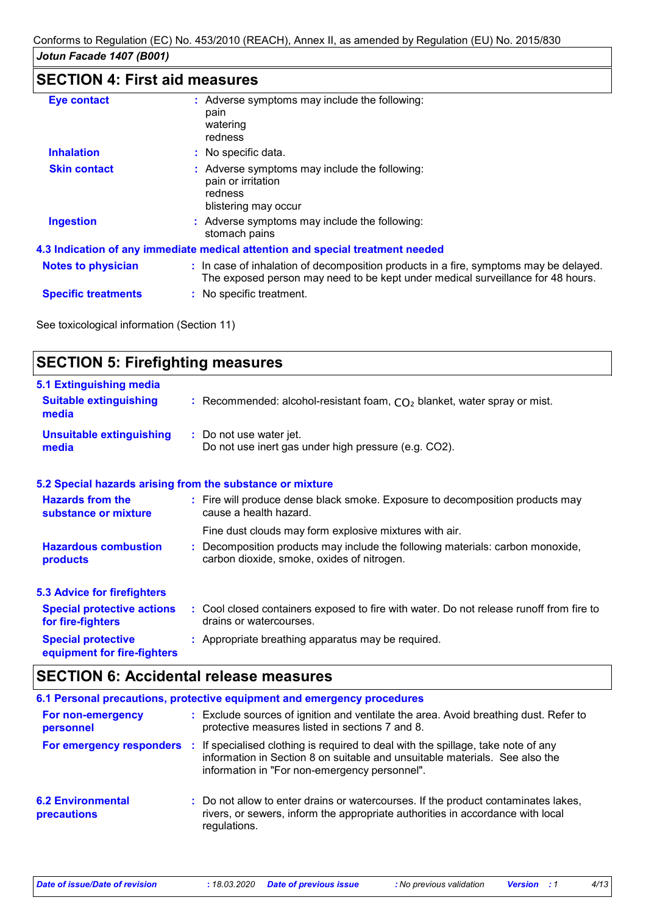# **SECTION 4: First aid measures**

| <b>Eye contact</b>         | : Adverse symptoms may include the following:<br>pain<br>watering<br>redness                                                                                             |
|----------------------------|--------------------------------------------------------------------------------------------------------------------------------------------------------------------------|
| <b>Inhalation</b>          | : No specific data.                                                                                                                                                      |
| <b>Skin contact</b>        | : Adverse symptoms may include the following:<br>pain or irritation<br>redness<br>blistering may occur                                                                   |
| <b>Ingestion</b>           | : Adverse symptoms may include the following:<br>stomach pains                                                                                                           |
|                            | 4.3 Indication of any immediate medical attention and special treatment needed                                                                                           |
| <b>Notes to physician</b>  | : In case of inhalation of decomposition products in a fire, symptoms may be delayed.<br>The exposed person may need to be kept under medical surveillance for 48 hours. |
| <b>Specific treatments</b> | : No specific treatment.                                                                                                                                                 |

See toxicological information (Section 11)

| <b>SECTION 5: Firefighting measures</b>                           |                                                                                                                              |  |
|-------------------------------------------------------------------|------------------------------------------------------------------------------------------------------------------------------|--|
| 5.1 Extinguishing media<br><b>Suitable extinguishing</b><br>media | : Recommended: alcohol-resistant foam, $CO2$ blanket, water spray or mist.                                                   |  |
| <b>Unsuitable extinguishing</b><br>media                          | : Do not use water jet.<br>Do not use inert gas under high pressure (e.g. CO2).                                              |  |
|                                                                   | 5.2 Special hazards arising from the substance or mixture                                                                    |  |
| <b>Hazards from the</b><br>substance or mixture                   | : Fire will produce dense black smoke. Exposure to decomposition products may<br>cause a health hazard.                      |  |
|                                                                   | Fine dust clouds may form explosive mixtures with air.                                                                       |  |
| <b>Hazardous combustion</b><br>products                           | : Decomposition products may include the following materials: carbon monoxide,<br>carbon dioxide, smoke, oxides of nitrogen. |  |
| <b>5.3 Advice for firefighters</b>                                |                                                                                                                              |  |
| <b>Special protective actions</b><br>for fire-fighters            | : Cool closed containers exposed to fire with water. Do not release runoff from fire to<br>drains or watercourses.           |  |
| <b>Special protective</b><br>equipment for fire-fighters          | : Appropriate breathing apparatus may be required.                                                                           |  |

### **SECTION 6: Accidental release measures**

|                                         | 6.1 Personal precautions, protective equipment and emergency procedures                                                                                                                                           |
|-----------------------------------------|-------------------------------------------------------------------------------------------------------------------------------------------------------------------------------------------------------------------|
| For non-emergency<br>personnel          | : Exclude sources of ignition and ventilate the area. Avoid breathing dust. Refer to<br>protective measures listed in sections 7 and 8.                                                                           |
| For emergency responders                | : If specialised clothing is required to deal with the spillage, take note of any<br>information in Section 8 on suitable and unsuitable materials. See also the<br>information in "For non-emergency personnel". |
| <b>6.2 Environmental</b><br>precautions | : Do not allow to enter drains or watercourses. If the product contaminates lakes,<br>rivers, or sewers, inform the appropriate authorities in accordance with local<br>regulations.                              |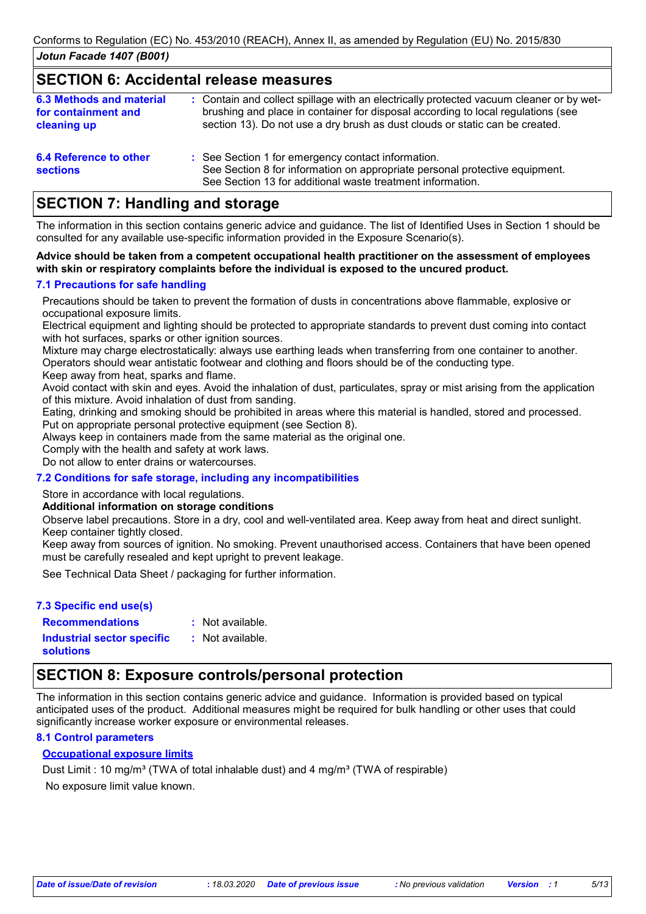### **SECTION 6: Accidental release measures**

| <b>6.3 Methods and material</b><br>for containment and<br>cleaning up | : Contain and collect spillage with an electrically protected vacuum cleaner or by wet-<br>brushing and place in container for disposal according to local regulations (see<br>section 13). Do not use a dry brush as dust clouds or static can be created. |
|-----------------------------------------------------------------------|-------------------------------------------------------------------------------------------------------------------------------------------------------------------------------------------------------------------------------------------------------------|
| 6.4 Reference to other<br><b>sections</b>                             | : See Section 1 for emergency contact information.<br>See Section 8 for information on appropriate personal protective equipment.                                                                                                                           |

See Section 13 for additional waste treatment information.

### **SECTION 7: Handling and storage**

The information in this section contains generic advice and guidance. The list of Identified Uses in Section 1 should be consulted for any available use-specific information provided in the Exposure Scenario(s).

#### **Advice should be taken from a competent occupational health practitioner on the assessment of employees with skin or respiratory complaints before the individual is exposed to the uncured product.**

#### **7.1 Precautions for safe handling**

Precautions should be taken to prevent the formation of dusts in concentrations above flammable, explosive or occupational exposure limits.

Electrical equipment and lighting should be protected to appropriate standards to prevent dust coming into contact with hot surfaces, sparks or other ignition sources.

Mixture may charge electrostatically: always use earthing leads when transferring from one container to another. Operators should wear antistatic footwear and clothing and floors should be of the conducting type.

Keep away from heat, sparks and flame.

Avoid contact with skin and eyes. Avoid the inhalation of dust, particulates, spray or mist arising from the application of this mixture. Avoid inhalation of dust from sanding.

Eating, drinking and smoking should be prohibited in areas where this material is handled, stored and processed. Put on appropriate personal protective equipment (see Section 8).

Always keep in containers made from the same material as the original one.

Comply with the health and safety at work laws.

Do not allow to enter drains or watercourses.

### **7.2 Conditions for safe storage, including any incompatibilities**

Store in accordance with local regulations.

#### **Additional information on storage conditions**

Observe label precautions. Store in a dry, cool and well-ventilated area. Keep away from heat and direct sunlight. Keep container tightly closed.

Keep away from sources of ignition. No smoking. Prevent unauthorised access. Containers that have been opened must be carefully resealed and kept upright to prevent leakage.

See Technical Data Sheet / packaging for further information.

### **7.3 Specific end use(s)**

: Not available. : Not available.

**Recommendations : Industrial sector specific : solutions**

### **SECTION 8: Exposure controls/personal protection**

The information in this section contains generic advice and guidance. Information is provided based on typical anticipated uses of the product. Additional measures might be required for bulk handling or other uses that could significantly increase worker exposure or environmental releases.

#### **8.1 Control parameters**

### **Occupational exposure limits**

No exposure limit value known. Dust Limit : 10 mg/m<sup>3</sup> (TWA of total inhalable dust) and 4 mg/m<sup>3</sup> (TWA of respirable)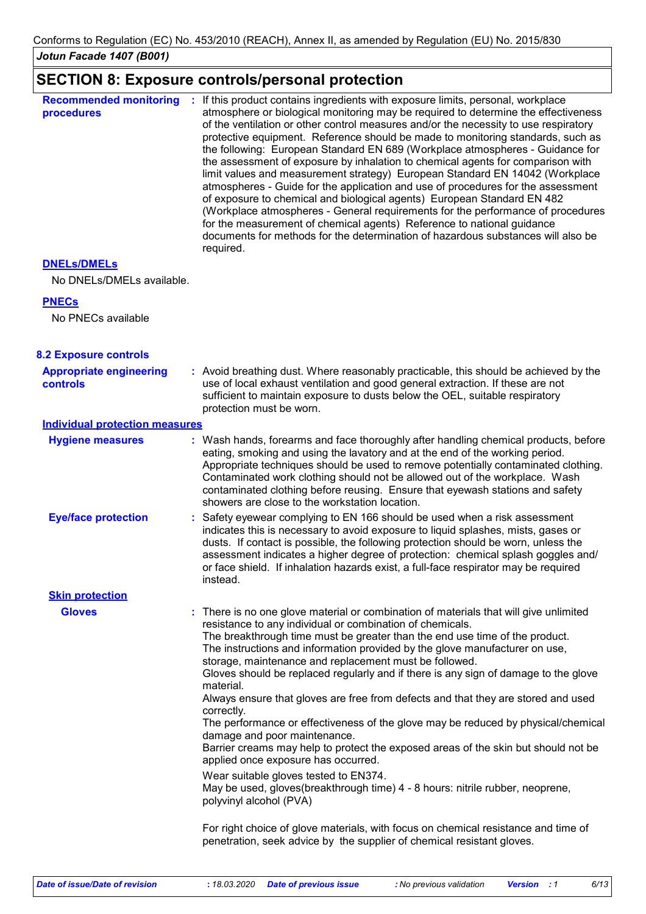### **SECTION 8: Exposure controls/personal protection**

| <b>Recommended monitoring</b><br>procedures | If this product contains ingredients with exposure limits, personal, workplace<br>atmosphere or biological monitoring may be required to determine the effectiveness<br>of the ventilation or other control measures and/or the necessity to use respiratory<br>protective equipment. Reference should be made to monitoring standards, such as<br>the following: European Standard EN 689 (Workplace atmospheres - Guidance for<br>the assessment of exposure by inhalation to chemical agents for comparison with<br>limit values and measurement strategy) European Standard EN 14042 (Workplace<br>atmospheres - Guide for the application and use of procedures for the assessment<br>of exposure to chemical and biological agents) European Standard EN 482<br>(Workplace atmospheres - General requirements for the performance of procedures<br>for the measurement of chemical agents) Reference to national guidance<br>documents for methods for the determination of hazardous substances will also be<br>required. |
|---------------------------------------------|----------------------------------------------------------------------------------------------------------------------------------------------------------------------------------------------------------------------------------------------------------------------------------------------------------------------------------------------------------------------------------------------------------------------------------------------------------------------------------------------------------------------------------------------------------------------------------------------------------------------------------------------------------------------------------------------------------------------------------------------------------------------------------------------------------------------------------------------------------------------------------------------------------------------------------------------------------------------------------------------------------------------------------|
|---------------------------------------------|----------------------------------------------------------------------------------------------------------------------------------------------------------------------------------------------------------------------------------------------------------------------------------------------------------------------------------------------------------------------------------------------------------------------------------------------------------------------------------------------------------------------------------------------------------------------------------------------------------------------------------------------------------------------------------------------------------------------------------------------------------------------------------------------------------------------------------------------------------------------------------------------------------------------------------------------------------------------------------------------------------------------------------|

#### **DNELs/DMELs**

No DNELs/DMELs available.

#### **PNECs**

No PNECs available

| <b>8.2 Exposure controls</b>               |                                                                                                                                                                                                                                                                                                                                                                                                                                                                                                                                                                                                                                                                                                                                                                                                                                                                                                                                                                                                                                                                                                                                                          |
|--------------------------------------------|----------------------------------------------------------------------------------------------------------------------------------------------------------------------------------------------------------------------------------------------------------------------------------------------------------------------------------------------------------------------------------------------------------------------------------------------------------------------------------------------------------------------------------------------------------------------------------------------------------------------------------------------------------------------------------------------------------------------------------------------------------------------------------------------------------------------------------------------------------------------------------------------------------------------------------------------------------------------------------------------------------------------------------------------------------------------------------------------------------------------------------------------------------|
| <b>Appropriate engineering</b><br>controls | : Avoid breathing dust. Where reasonably practicable, this should be achieved by the<br>use of local exhaust ventilation and good general extraction. If these are not<br>sufficient to maintain exposure to dusts below the OEL, suitable respiratory<br>protection must be worn.                                                                                                                                                                                                                                                                                                                                                                                                                                                                                                                                                                                                                                                                                                                                                                                                                                                                       |
| <b>Individual protection measures</b>      |                                                                                                                                                                                                                                                                                                                                                                                                                                                                                                                                                                                                                                                                                                                                                                                                                                                                                                                                                                                                                                                                                                                                                          |
| <b>Hygiene measures</b>                    | : Wash hands, forearms and face thoroughly after handling chemical products, before<br>eating, smoking and using the lavatory and at the end of the working period.<br>Appropriate techniques should be used to remove potentially contaminated clothing.<br>Contaminated work clothing should not be allowed out of the workplace. Wash<br>contaminated clothing before reusing. Ensure that eyewash stations and safety<br>showers are close to the workstation location.                                                                                                                                                                                                                                                                                                                                                                                                                                                                                                                                                                                                                                                                              |
| <b>Eye/face protection</b>                 | : Safety eyewear complying to EN 166 should be used when a risk assessment<br>indicates this is necessary to avoid exposure to liquid splashes, mists, gases or<br>dusts. If contact is possible, the following protection should be worn, unless the<br>assessment indicates a higher degree of protection: chemical splash goggles and/<br>or face shield. If inhalation hazards exist, a full-face respirator may be required<br>instead.                                                                                                                                                                                                                                                                                                                                                                                                                                                                                                                                                                                                                                                                                                             |
| <b>Skin protection</b>                     |                                                                                                                                                                                                                                                                                                                                                                                                                                                                                                                                                                                                                                                                                                                                                                                                                                                                                                                                                                                                                                                                                                                                                          |
| <b>Gloves</b>                              | : There is no one glove material or combination of materials that will give unlimited<br>resistance to any individual or combination of chemicals.<br>The breakthrough time must be greater than the end use time of the product.<br>The instructions and information provided by the glove manufacturer on use,<br>storage, maintenance and replacement must be followed.<br>Gloves should be replaced regularly and if there is any sign of damage to the glove<br>material.<br>Always ensure that gloves are free from defects and that they are stored and used<br>correctly.<br>The performance or effectiveness of the glove may be reduced by physical/chemical<br>damage and poor maintenance.<br>Barrier creams may help to protect the exposed areas of the skin but should not be<br>applied once exposure has occurred.<br>Wear suitable gloves tested to EN374.<br>May be used, gloves(breakthrough time) 4 - 8 hours: nitrile rubber, neoprene,<br>polyvinyl alcohol (PVA)<br>For right choice of glove materials, with focus on chemical resistance and time of<br>penetration, seek advice by the supplier of chemical resistant gloves. |
|                                            |                                                                                                                                                                                                                                                                                                                                                                                                                                                                                                                                                                                                                                                                                                                                                                                                                                                                                                                                                                                                                                                                                                                                                          |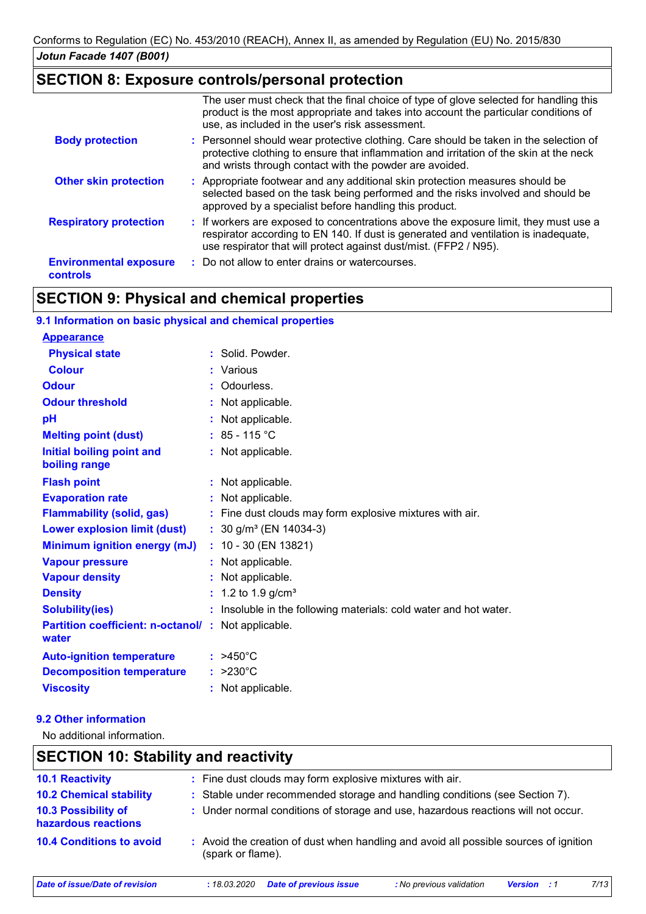### **SECTION 8: Exposure controls/personal protection**

|                                                  | The user must check that the final choice of type of glove selected for handling this<br>product is the most appropriate and takes into account the particular conditions of<br>use, as included in the user's risk assessment.                  |
|--------------------------------------------------|--------------------------------------------------------------------------------------------------------------------------------------------------------------------------------------------------------------------------------------------------|
| <b>Body protection</b>                           | : Personnel should wear protective clothing. Care should be taken in the selection of<br>protective clothing to ensure that inflammation and irritation of the skin at the neck<br>and wrists through contact with the powder are avoided.       |
| <b>Other skin protection</b>                     | : Appropriate footwear and any additional skin protection measures should be<br>selected based on the task being performed and the risks involved and should be<br>approved by a specialist before handling this product.                        |
| <b>Respiratory protection</b>                    | : If workers are exposed to concentrations above the exposure limit, they must use a<br>respirator according to EN 140. If dust is generated and ventilation is inadequate,<br>use respirator that will protect against dust/mist. (FFP2 / N95). |
| <b>Environmental exposure</b><br><b>controls</b> | : Do not allow to enter drains or watercourses.                                                                                                                                                                                                  |

# **SECTION 9: Physical and chemical properties**

| 9.1 Information on basic physical and chemical properties   |                                                                       |
|-------------------------------------------------------------|-----------------------------------------------------------------------|
| <b>Appearance</b>                                           |                                                                       |
| <b>Physical state</b>                                       | : Solid. Powder.                                                      |
| <b>Colour</b>                                               | : Various                                                             |
| <b>Odour</b>                                                | Odourless.                                                            |
| <b>Odour threshold</b>                                      | : Not applicable.                                                     |
| pH                                                          | : Not applicable.                                                     |
| <b>Melting point (dust)</b>                                 | $: 85 - 115 °C$                                                       |
| Initial boiling point and<br>boiling range                  | : Not applicable.                                                     |
| <b>Flash point</b>                                          | : Not applicable.                                                     |
| <b>Evaporation rate</b>                                     | : Not applicable.                                                     |
| <b>Flammability (solid, gas)</b>                            | : Fine dust clouds may form explosive mixtures with air.              |
| <b>Lower explosion limit (dust)</b>                         | : $30$ g/m <sup>3</sup> (EN 14034-3)                                  |
| Minimum ignition energy (mJ)                                | $: 10 - 30$ (EN 13821)                                                |
| <b>Vapour pressure</b>                                      | : Not applicable.                                                     |
| <b>Vapour density</b>                                       | : Not applicable.                                                     |
| <b>Density</b>                                              | : 1.2 to 1.9 g/cm <sup>3</sup>                                        |
| <b>Solubility(ies)</b>                                      | Insoluble in the following materials: cold water and hot water.<br>t. |
| Partition coefficient: n-octanol/: Not applicable.<br>water |                                                                       |
| <b>Auto-ignition temperature</b>                            | $:$ >450°C                                                            |
| <b>Decomposition temperature</b>                            | $: >230^{\circ}C$                                                     |
| <b>Viscosity</b>                                            | : Not applicable.                                                     |

#### **9.2 Other information**

No additional information.

| <b>SECTION 10: Stability and reactivity</b> |                                                                                                            |  |
|---------------------------------------------|------------------------------------------------------------------------------------------------------------|--|
| <b>10.1 Reactivity</b>                      | : Fine dust clouds may form explosive mixtures with air.                                                   |  |
| <b>10.2 Chemical stability</b>              | : Stable under recommended storage and handling conditions (see Section 7).                                |  |
| 10.3 Possibility of<br>hazardous reactions  | : Under normal conditions of storage and use, hazardous reactions will not occur.                          |  |
| <b>10.4 Conditions to avoid</b>             | : Avoid the creation of dust when handling and avoid all possible sources of ignition<br>(spark or flame). |  |
| Date of issue/Date of revision              | 7/13<br><b>Date of previous issue</b><br>: No previous validation<br>: 18.03.2020<br><b>Version</b>        |  |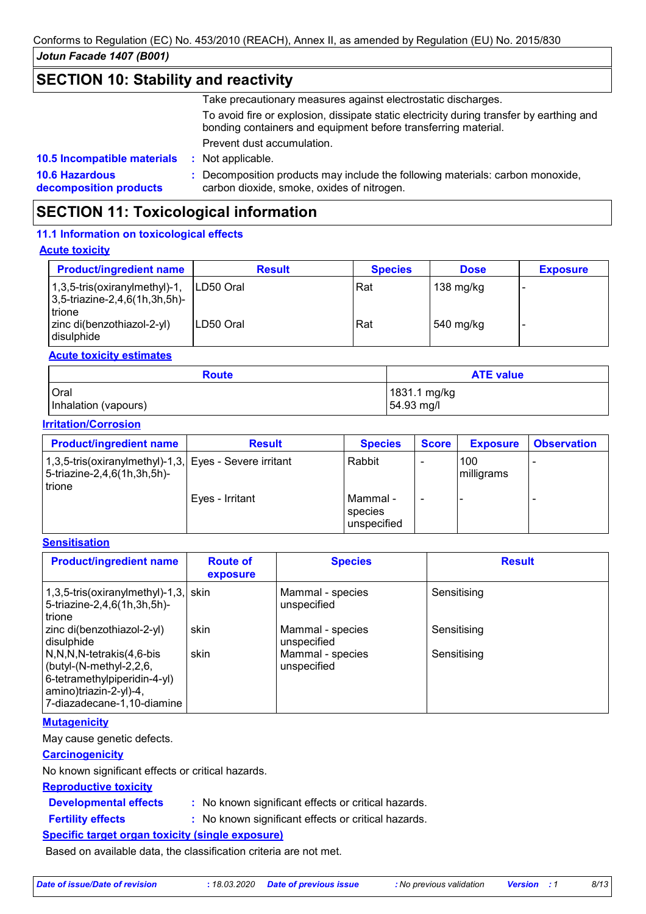### **SECTION 10: Stability and reactivity**

Take precautionary measures against electrostatic discharges.

To avoid fire or explosion, dissipate static electricity during transfer by earthing and bonding containers and equipment before transferring material.

Prevent dust accumulation.

: Not applicable.

**10.6 Hazardous decomposition products 10.5 Incompatible materials :**

**:** Decomposition products may include the following materials: carbon monoxide, carbon dioxide, smoke, oxides of nitrogen.

## **SECTION 11: Toxicological information**

#### **11.1 Information on toxicological effects**

#### **Acute toxicity**

| <b>Product/ingredient name</b>                                                  | <b>Result</b> | <b>Species</b> | <b>Dose</b>       | <b>Exposure</b> |
|---------------------------------------------------------------------------------|---------------|----------------|-------------------|-----------------|
| $1,3,5$ -tris(oxiranylmethyl)-1,<br>$ 3,5$ -triazine-2,4,6(1h,3h,5h)-<br>trione | ILD50 Oral    | Rat            | 138 mg/kg         |                 |
| zinc di(benzothiazol-2-yl)<br>l disulphide                                      | ILD50 Oral    | Rat            | $\vert$ 540 mg/kg |                 |

#### **Acute toxicity estimates**

| <b>ATE value</b><br><b>Route</b> |              |
|----------------------------------|--------------|
| <b>Oral</b>                      | 1831.1 mg/kg |
| Inhalation (vapours)             | 54.93 mg/l   |

#### **Irritation/Corrosion**

| <b>Product/ingredient name</b>                                                                  | <b>Result</b>   | <b>Species</b>                     | <b>Score</b> | <b>Exposure</b>   | <b>Observation</b> |
|-------------------------------------------------------------------------------------------------|-----------------|------------------------------------|--------------|-------------------|--------------------|
| 1,3,5-tris(oxiranylmethyl)-1,3, Eyes - Severe irritant<br>5-triazine-2,4,6(1h,3h,5h)-<br>trione |                 | Rabbit                             |              | 100<br>milligrams |                    |
|                                                                                                 | Eyes - Irritant | Mammal -<br>species<br>unspecified |              |                   |                    |

#### **Sensitisation**

| <b>Product/ingredient name</b>                                                                                                                      | <b>Route of</b><br>exposure | <b>Species</b>                  | <b>Result</b> |
|-----------------------------------------------------------------------------------------------------------------------------------------------------|-----------------------------|---------------------------------|---------------|
| $1,3,5$ -tris(oxiranylmethyl)-1,3, skin<br>5-triazine-2,4,6(1h,3h,5h)-<br>l trione                                                                  |                             | Mammal - species<br>unspecified | Sensitising   |
| zinc di(benzothiazol-2-yl)<br>disulphide                                                                                                            | skin                        | Mammal - species<br>unspecified | Sensitising   |
| N,N,N,N-tetrakis(4,6-bis<br>$\vert$ (butyl-(N-methyl-2,2,6,<br>6-tetramethylpiperidin-4-yl)<br>amino)triazin-2-yl)-4,<br>7-diazadecane-1,10-diamine | skin                        | Mammal - species<br>unspecified | Sensitising   |

#### **Mutagenicity**

May cause genetic defects.

#### **Carcinogenicity**

No known significant effects or critical hazards.

#### **Reproductive toxicity**

- **Developmental effects :**
- : No known significant effects or critical hazards.
- **Fertility effects :**
- : No known significant effects or critical hazards.

### **Specific target organ toxicity (single exposure)**

Based on available data, the classification criteria are not met.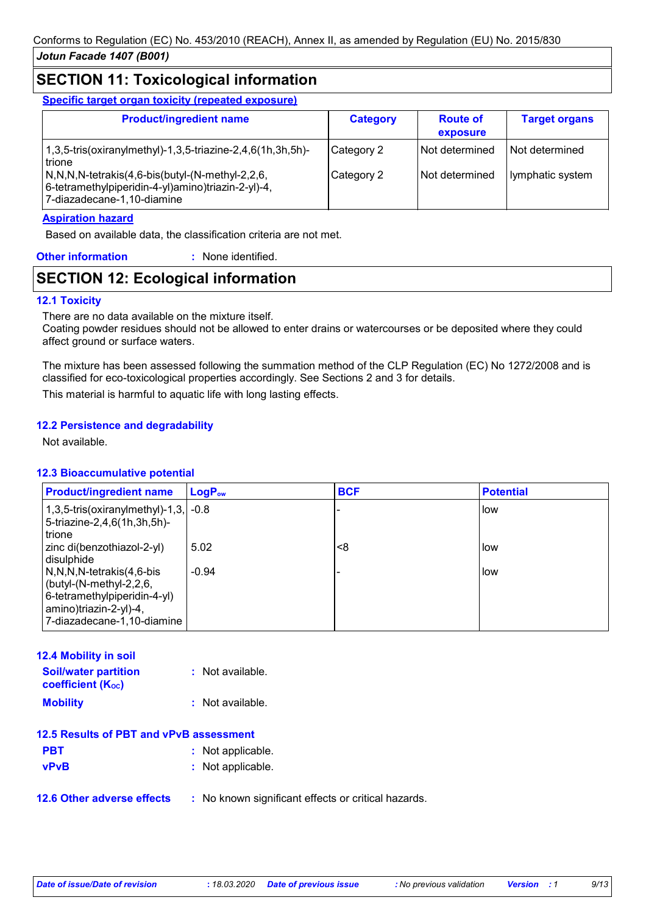### **SECTION 11: Toxicological information**

**Specific target organ toxicity (repeated exposure)**

| <b>Product/ingredient name</b>                                                                                                                                                                                                   | <b>Category</b>          | <b>Route of</b><br>exposure      | <b>Target organs</b>                 |
|----------------------------------------------------------------------------------------------------------------------------------------------------------------------------------------------------------------------------------|--------------------------|----------------------------------|--------------------------------------|
| 1,3,5-tris(oxiranylmethyl)-1,3,5-triazine-2,4,6(1h,3h,5h)-<br>trione<br>$\sqrt{N,N,N}$ -tetrakis $(4,6$ -bis $\frac{N-1}{N}$ -methyl-2,2,6,<br> 6-tetramethylpiperidin-4-yl)amino)triazin-2-yl)-4,<br>7-diazadecane-1,10-diamine | Category 2<br>Category 2 | Not determined<br>Not determined | l Not determined<br>lymphatic system |

#### **Aspiration hazard**

Based on available data, the classification criteria are not met.

| <b>Other information</b> | : None identified. |
|--------------------------|--------------------|
|                          |                    |

### **SECTION 12: Ecological information**

#### **12.1 Toxicity**

There are no data available on the mixture itself.

Coating powder residues should not be allowed to enter drains or watercourses or be deposited where they could affect ground or surface waters.

The mixture has been assessed following the summation method of the CLP Regulation (EC) No 1272/2008 and is classified for eco-toxicological properties accordingly. See Sections 2 and 3 for details.

This material is harmful to aquatic life with long lasting effects.

#### **12.2 Persistence and degradability**

Not available.

#### **12.3 Bioaccumulative potential**

| <b>Product/ingredient name</b>                                                                                                                  | $\mathsf{LogP}_\mathsf{ow}$ | <b>BCF</b> | <b>Potential</b> |
|-------------------------------------------------------------------------------------------------------------------------------------------------|-----------------------------|------------|------------------|
| 1,3,5-tris(oxiranylmethyl)-1,3, $\sim$ -0.8<br>5-triazine-2,4,6(1h,3h,5h)-<br>trione                                                            |                             |            | i low            |
| zinc di(benzothiazol-2-yl)<br>disulphide                                                                                                        | 5.02                        | <8         | low              |
| N,N,N,N-tetrakis(4,6-bis<br>(butyl- $(N$ -methyl-2,2,6,<br>6-tetramethylpiperidin-4-yl)<br>amino)triazin-2-yl)-4,<br>7-diazadecane-1,10-diamine | $-0.94$                     |            | <b>low</b>       |

| : Not available.                        |
|-----------------------------------------|
| : Not available :                       |
| 12.5 Results of PBT and vPvB assessment |
| : Not applicable.                       |
| : Not applicable.                       |
|                                         |

**12.6 Other adverse effects** : No known significant effects or critical hazards.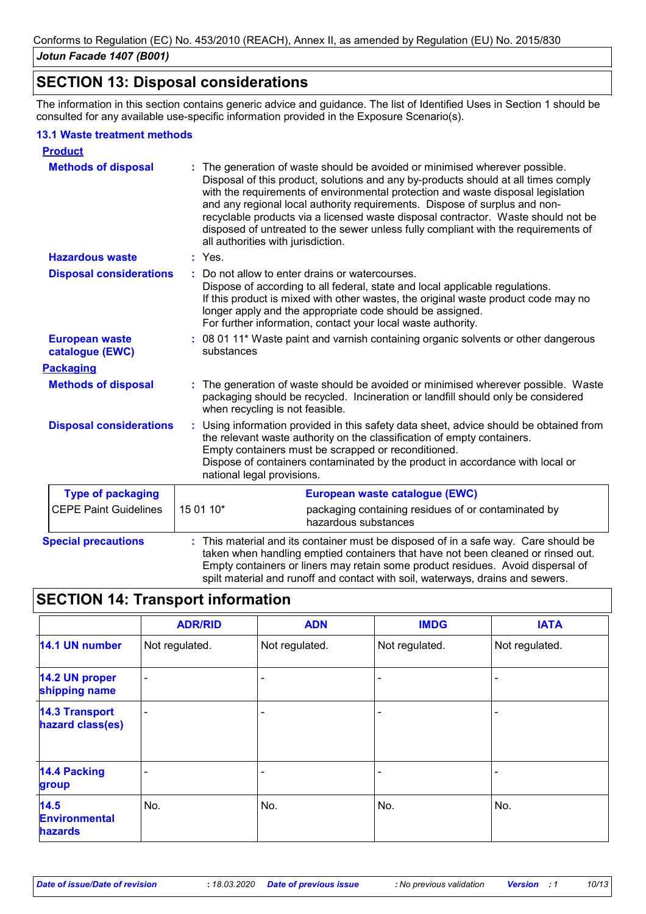### **SECTION 13: Disposal considerations**

The information in this section contains generic advice and guidance. The list of Identified Uses in Section 1 should be consulted for any available use-specific information provided in the Exposure Scenario(s).

#### **13.1 Waste treatment methods**

| <b>Product</b>                           |                                                                                                                                                                                                                                                                                                                                                                                                                                                                                                                                                    |
|------------------------------------------|----------------------------------------------------------------------------------------------------------------------------------------------------------------------------------------------------------------------------------------------------------------------------------------------------------------------------------------------------------------------------------------------------------------------------------------------------------------------------------------------------------------------------------------------------|
| <b>Methods of disposal</b>               | The generation of waste should be avoided or minimised wherever possible.<br>Disposal of this product, solutions and any by-products should at all times comply<br>with the requirements of environmental protection and waste disposal legislation<br>and any regional local authority requirements. Dispose of surplus and non-<br>recyclable products via a licensed waste disposal contractor. Waste should not be<br>disposed of untreated to the sewer unless fully compliant with the requirements of<br>all authorities with jurisdiction. |
| <b>Hazardous waste</b>                   | : Yes.                                                                                                                                                                                                                                                                                                                                                                                                                                                                                                                                             |
| <b>Disposal considerations</b>           | Do not allow to enter drains or watercourses.<br>÷.<br>Dispose of according to all federal, state and local applicable regulations.<br>If this product is mixed with other wastes, the original waste product code may no<br>longer apply and the appropriate code should be assigned.<br>For further information, contact your local waste authority.                                                                                                                                                                                             |
| <b>European waste</b><br>catalogue (EWC) | : 08 01 11* Waste paint and varnish containing organic solvents or other dangerous<br>substances                                                                                                                                                                                                                                                                                                                                                                                                                                                   |
| <b>Packaging</b>                         |                                                                                                                                                                                                                                                                                                                                                                                                                                                                                                                                                    |
| <b>Methods of disposal</b>               | The generation of waste should be avoided or minimised wherever possible. Waste<br>packaging should be recycled. Incineration or landfill should only be considered<br>when recycling is not feasible.                                                                                                                                                                                                                                                                                                                                             |
| <b>Disposal considerations</b>           | Using information provided in this safety data sheet, advice should be obtained from<br>÷.<br>the relevant waste authority on the classification of empty containers.<br>Empty containers must be scrapped or reconditioned.<br>Dispose of containers contaminated by the product in accordance with local or<br>national legal provisions.                                                                                                                                                                                                        |
| <b>Type of packaging</b>                 | European waste catalogue (EWC)                                                                                                                                                                                                                                                                                                                                                                                                                                                                                                                     |
| <b>CEPE Paint Guidelines</b>             | 15 01 10*<br>packaging containing residues of or contaminated by<br>hazardous substances                                                                                                                                                                                                                                                                                                                                                                                                                                                           |
| <b>Special precautions</b>               | This material and its container must be disposed of in a safe way. Care should be<br>taken when handling emptied containers that have not been cleaned or rinsed out.<br>Empty containers or liners may retain some product residues. Avoid dispersal of<br>spilt material and runoff and contact with soil, waterways, drains and sewers.                                                                                                                                                                                                         |

# **SECTION 14: Transport information**

|                                           | <b>ADR/RID</b>           | <b>ADN</b>     | <b>IMDG</b>    | <b>IATA</b>    |
|-------------------------------------------|--------------------------|----------------|----------------|----------------|
| 14.1 UN number                            | Not regulated.           | Not regulated. | Not regulated. | Not regulated. |
| 14.2 UN proper<br>shipping name           | $\overline{\phantom{a}}$ |                |                |                |
| <b>14.3 Transport</b><br>hazard class(es) | $\overline{\phantom{0}}$ |                |                |                |
| <b>14.4 Packing</b><br>group              |                          |                |                |                |
| 14.5<br><b>Environmental</b><br>hazards   | No.                      | No.            | No.            | No.            |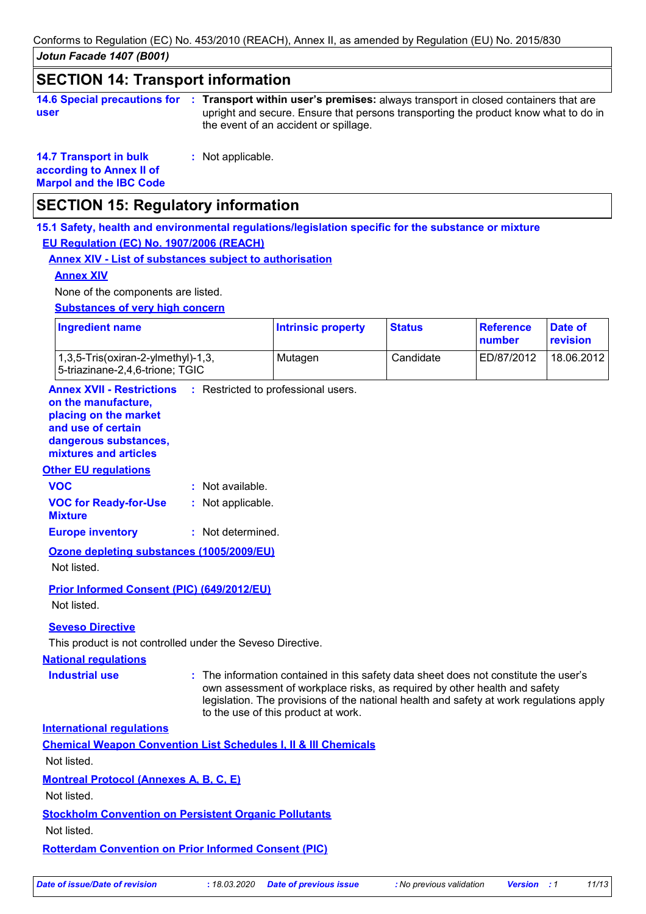*Jotun Facade 1407 (B001)* Conforms to Regulation (EC) No. 453/2010 (REACH), Annex II, as amended by Regulation (EU) No. 2015/830

# **SECTION 14: Transport information**

|      | 14.6 Special precautions for : Transport within user's premises: always transport in closed containers that are |
|------|-----------------------------------------------------------------------------------------------------------------|
| user | upright and secure. Ensure that persons transporting the product know what to do in                             |
|      | the event of an accident or spillage.                                                                           |

**14.7 Transport in bulk according to Annex II of Marpol and the IBC Code** **:** Not applicable.

### **SECTION 15: Regulatory information**

**15.1 Safety, health and environmental regulations/legislation specific for the substance or mixture EU Regulation (EC) No. 1907/2006 (REACH)**

#### **Annex XIV - List of substances subject to authorisation**

#### **Annex XIV**

None of the components are listed.

**Substances of very high concern**

| <b>Ingredient name</b>                                                                 | <b>Intrinsic property</b> | <b>Status</b> | Reference<br>number | Date of<br>revision |
|----------------------------------------------------------------------------------------|---------------------------|---------------|---------------------|---------------------|
| $(1,3,5\text{-}Tris(oxiran-2\text{-}vImethyl)-1,3)$<br>5-triazinane-2,4,6-trione; TGIC | Mutagen                   | Candidate     | ED/87/2012          | 18.06.2012          |

**Annex XVII - Restrictions** : Restricted to professional users.

#### **on the manufacture, placing on the market**

**and use of certain** 

**dangerous substances,**

#### **mixtures and articles**

#### **Other EU regulations**

| <b>VOC</b>                                     | : Not available.  |
|------------------------------------------------|-------------------|
| <b>VOC for Ready-for-Use</b><br><b>Mixture</b> | : Not applicable. |
| <b>Europe inventory</b>                        | : Not determined. |

**Ozone depleting substances (1005/2009/EU)** Not listed.

**Prior Informed Consent (PIC) (649/2012/EU)** Not listed.

#### **Seveso Directive**

This product is not controlled under the Seveso Directive.

#### **National regulations**

**Industrial use <b>:** The information contained in this safety data sheet does not constitute the user's own assessment of workplace risks, as required by other health and safety legislation. The provisions of the national health and safety at work regulations apply to the use of this product at work.

**International regulations**

| <b>Chemical Weapon Convention List Schedules I, II &amp; III Chemicals</b> |
|----------------------------------------------------------------------------|
|                                                                            |

Not listed.

**Montreal Protocol (Annexes A, B, C, E)**

Not listed.

### **Stockholm Convention on Persistent Organic Pollutants**

Not listed.

**Rotterdam Convention on Prior Informed Consent (PIC)**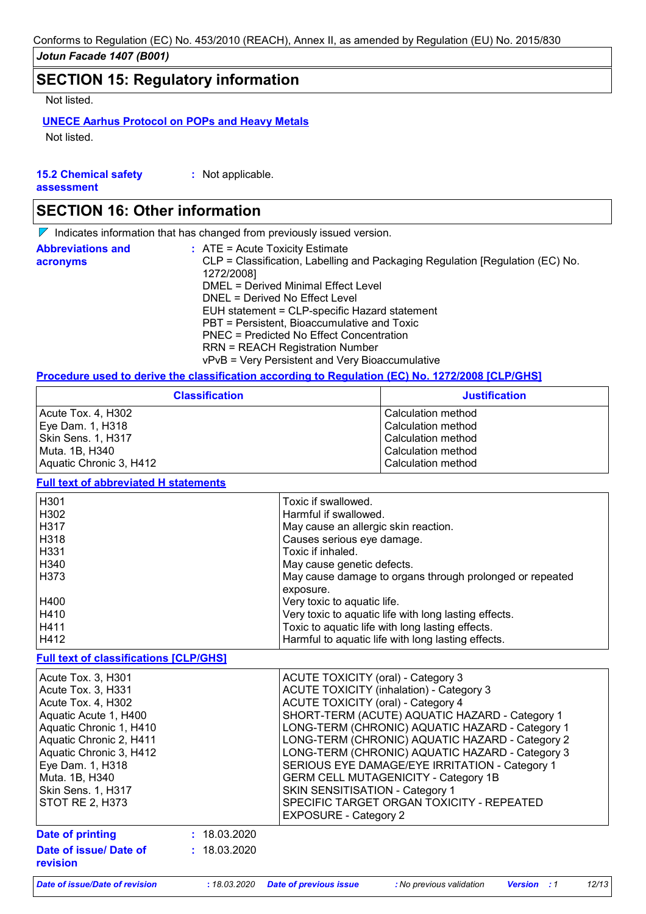### **SECTION 15: Regulatory information**

Not listed.

#### **UNECE Aarhus Protocol on POPs and Heavy Metals**

Not listed.

| <b>15.2 Chemical safety</b> | : Not applicable. |
|-----------------------------|-------------------|
| assessment                  |                   |

### **SECTION 16: Other information**

 $\nabla$  Indicates information that has changed from previously issued version.

| <b>Abbreviations and</b><br>acronyms | $\therefore$ ATE = Acute Toxicity Estimate<br>CLP = Classification, Labelling and Packaging Regulation [Regulation (EC) No.<br>1272/2008] |
|--------------------------------------|-------------------------------------------------------------------------------------------------------------------------------------------|
|                                      | DMEL = Derived Minimal Effect Level                                                                                                       |
|                                      | DNEL = Derived No Effect Level                                                                                                            |
|                                      | EUH statement = CLP-specific Hazard statement                                                                                             |
|                                      | PBT = Persistent, Bioaccumulative and Toxic                                                                                               |
|                                      | PNEC = Predicted No Effect Concentration                                                                                                  |
|                                      | <b>RRN = REACH Registration Number</b>                                                                                                    |
|                                      | vPvB = Very Persistent and Very Bioaccumulative                                                                                           |

#### **Procedure used to derive the classification according to Regulation (EC) No. 1272/2008 [CLP/GHS]**

| <b>Classification</b>   | <b>Justification</b> |
|-------------------------|----------------------|
| Acute Tox. 4, H302      | Calculation method   |
| Eye Dam. 1, H318        | Calculation method   |
| l Skin Sens. 1. H317    | Calculation method   |
| Muta. 1B, H340          | Calculation method   |
| Aquatic Chronic 3, H412 | Calculation method   |

#### **Full text of abbreviated H statements**

| H <sub>301</sub> | Toxic if swallowed.                                      |
|------------------|----------------------------------------------------------|
| H302             | Harmful if swallowed.                                    |
| H317             | May cause an allergic skin reaction.                     |
| H318             | Causes serious eye damage.                               |
| H <sub>331</sub> | Toxic if inhaled.                                        |
| H340             | May cause genetic defects.                               |
| H373             | May cause damage to organs through prolonged or repeated |
|                  | exposure.                                                |
| H400             | Very toxic to aquatic life.                              |
| H410             | Very toxic to aquatic life with long lasting effects.    |
| H411             | Toxic to aquatic life with long lasting effects.         |
| H412             | Harmful to aquatic life with long lasting effects.       |

#### **Full text of classifications [CLP/GHS]**

| Acute Tox. 3, H301<br>Acute Tox. 3, H331<br>Acute Tox. 4, H302<br>Aquatic Acute 1, H400<br>Aquatic Chronic 1, H410<br>Aquatic Chronic 2, H411<br>Aquatic Chronic 3, H412<br>Eye Dam. 1, H318<br>Muta. 1B, H340<br>Skin Sens. 1, H317<br><b>STOT RE 2, H373</b> |              | <b>ACUTE TOXICITY (oral) - Category 3</b><br><b>ACUTE TOXICITY (inhalation) - Category 3</b><br><b>ACUTE TOXICITY (oral) - Category 4</b><br>SHORT-TERM (ACUTE) AQUATIC HAZARD - Category 1<br>LONG-TERM (CHRONIC) AQUATIC HAZARD - Category 1<br>LONG-TERM (CHRONIC) AQUATIC HAZARD - Category 2<br>LONG-TERM (CHRONIC) AQUATIC HAZARD - Category 3<br>SERIOUS EYE DAMAGE/EYE IRRITATION - Category 1<br><b>GERM CELL MUTAGENICITY - Category 1B</b><br>SKIN SENSITISATION - Category 1<br>SPECIFIC TARGET ORGAN TOXICITY - REPEATED<br><b>EXPOSURE - Category 2</b> |
|----------------------------------------------------------------------------------------------------------------------------------------------------------------------------------------------------------------------------------------------------------------|--------------|-----------------------------------------------------------------------------------------------------------------------------------------------------------------------------------------------------------------------------------------------------------------------------------------------------------------------------------------------------------------------------------------------------------------------------------------------------------------------------------------------------------------------------------------------------------------------|
| Date of printing                                                                                                                                                                                                                                               | : 18.03.2020 |                                                                                                                                                                                                                                                                                                                                                                                                                                                                                                                                                                       |
| Date of issue/ Date of<br>revision                                                                                                                                                                                                                             | : 18.03.2020 |                                                                                                                                                                                                                                                                                                                                                                                                                                                                                                                                                                       |